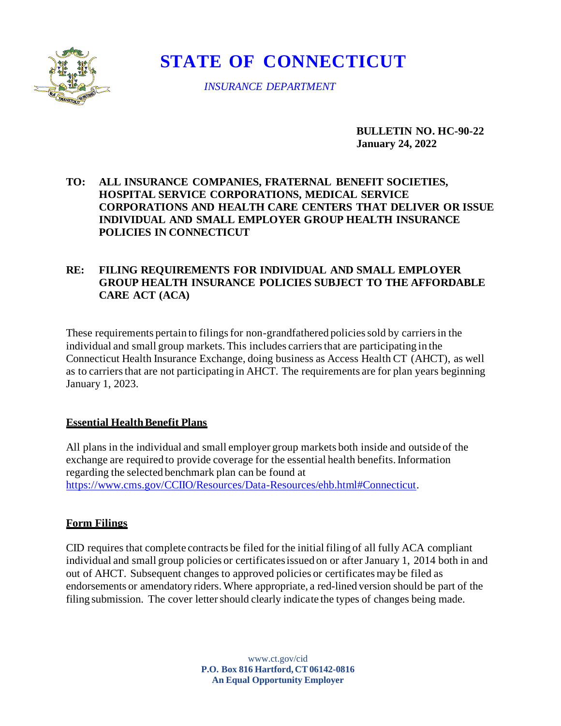

# **STATE OF CONNECTICUT**

*INSURANCE DEPARTMENT*

**BULLETIN NO. HC-90-22 January 24, 2022**

# **TO: ALL INSURANCE COMPANIES, FRATERNAL BENEFIT SOCIETIES, HOSPITAL SERVICE CORPORATIONS, MEDICAL SERVICE CORPORATIONS AND HEALTH CARE CENTERS THAT DELIVER OR ISSUE INDIVIDUAL AND SMALL EMPLOYER GROUP HEALTH INSURANCE POLICIES IN CONNECTICUT**

# **RE: FILING REQUIREMENTS FOR INDIVIDUAL AND SMALL EMPLOYER GROUP HEALTH INSURANCE POLICIES SUBJECT TO THE AFFORDABLE CARE ACT (ACA)**

These requirements pertain to filings for non-grandfathered policies sold by carriers in the individual and small group markets. This includes carriers that are participating in the Connecticut Health Insurance Exchange, doing business as Access Health CT (AHCT), as well as to carriers that are not participating in AHCT. The requirements are for plan years beginning January 1, 2023.

# **Essential Health Benefit Plans**

All plans in the individual and small employer group markets both inside and outside of the exchange are required to provide coverage for the essential health benefits. Information regarding the selected benchmark plan can be found at [https://www.cms.gov/CCIIO/Resources/Data-Resources/ehb.html#Connecticut.](https://www.cms.gov/CCIIO/Resources/Data-Resources/ehb.html#Connecticut)

# **Form Filings**

CID requires that complete contracts be filed for the initial filing of all fully ACA compliant individual and small group policies or certificates issued on or after January 1, 2014 both in and out of AHCT. Subsequent changes to approved policies or certificates may be filed as endorsements or amendatory riders. Where appropriate, a red-lined version should be part of the filing submission. The cover letter should [clearly indicat](http://www.ct.gov/cid)e the types of changes being made.

> www.ct.gov/cid **P.O. Box 816 Hartford, CT 06142-0816 An Equal Opportunity Employer**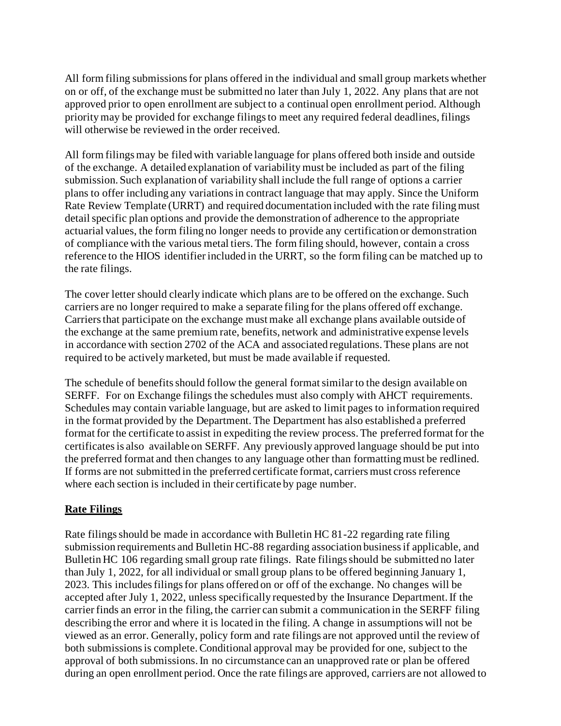All form filing submissions for plans offered in the individual and small group markets whether on or off, of the exchange must be submitted no later than July 1, 2022. Any plans that are not approved prior to open enrollment are subject to a continual open enrollment period. Although priority may be provided for exchange filings to meet any required federal deadlines, filings will otherwise be reviewed in the order received.

All form filings may be filed with variable language for plans offered both inside and outside of the exchange. A detailed explanation of variability must be included as part of the filing submission. Such explanation of variability shall include the full range of options a carrier plans to offer including any variations in contract language that may apply. Since the Uniform Rate Review Template (URRT) and required documentation included with the rate filing must detail specific plan options and provide the demonstration of adherence to the appropriate actuarial values, the form filing no longer needs to provide any certification or demonstration of compliance with the various metal tiers. The form filing should, however, contain a cross reference to the HIOS identifier included in the URRT, so the form filing can be matched up to the rate filings.

The cover letter should clearly indicate which plans are to be offered on the exchange. Such carriers are no longer required to make a separate filing for the plans offered off exchange. Carriers that participate on the exchange must make all exchange plans available outside of the exchange at the same premium rate, benefits, network and administrative expense levels in accordance with section 2702 of the ACA and associated regulations. These plans are not required to be actively marketed, but must be made available if requested.

The schedule of benefits should follow the general format similar to the design available on SERFF. For on Exchange filings the schedules must also comply with AHCT requirements. Schedules may contain variable language, but are asked to limit pages to information required in the format provided by the Department. The Department has also established a preferred format for the certificate to assist in expediting the review process. The preferred format for the certificates is also available on SERFF. Any previously approved language should be put into the preferred format and then changes to any language other than formatting must be redlined. If forms are not submitted in the preferred certificate format, carriers must cross reference where each section is included in their certificate by page number.

# **Rate Filings**

Rate filings should be made in accordance with Bulletin HC 81-22 regarding rate filing submission requirements and Bulletin HC-88 regarding association business if applicable, and Bulletin HC 106 regarding small group rate filings. Rate filings should be submitted no later than July 1, 2022, for all individual or small group plans to be offered beginning January 1, 2023. This includes filings for plans offered on or off of the exchange. No changes will be accepted after July 1, 2022, unless specifically requested by the Insurance Department. If the carrier finds an error in the filing, the carrier can submit a communication in the SERFF filing describing the error and where it is located in the filing. A change in assumptions will not be viewed as an error. Generally, policy form and rate filings are not approved until the review of both submissions is complete. Conditional approval may be provided for one, subject to the approval of both submissions. In no circumstance can an unapproved rate or plan be offered during an open enrollment period. Once the rate filings are approved, carriers are not allowed to